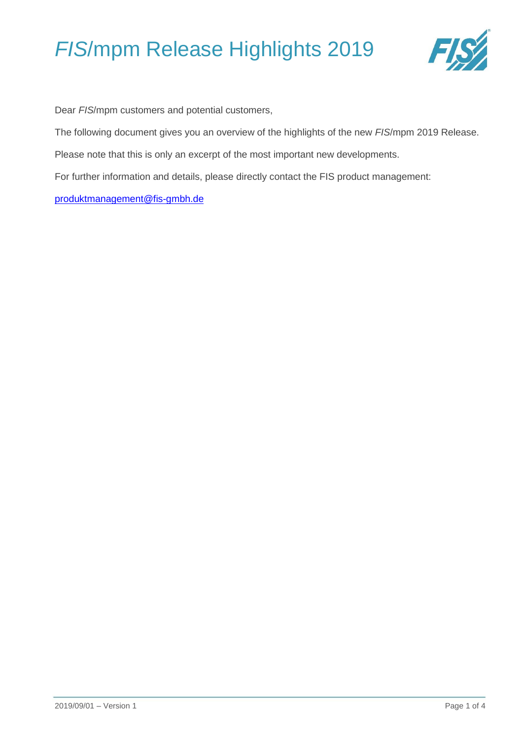

Dear *FIS*/mpm customers and potential customers,

The following document gives you an overview of the highlights of the new *FIS*/mpm 2019 Release.

Please note that this is only an excerpt of the most important new developments.

For further information and details, please directly contact the FIS product management:

[produktmanagement@fis-gmbh.de](mailto:produktmanagement@fis-gmbh.de)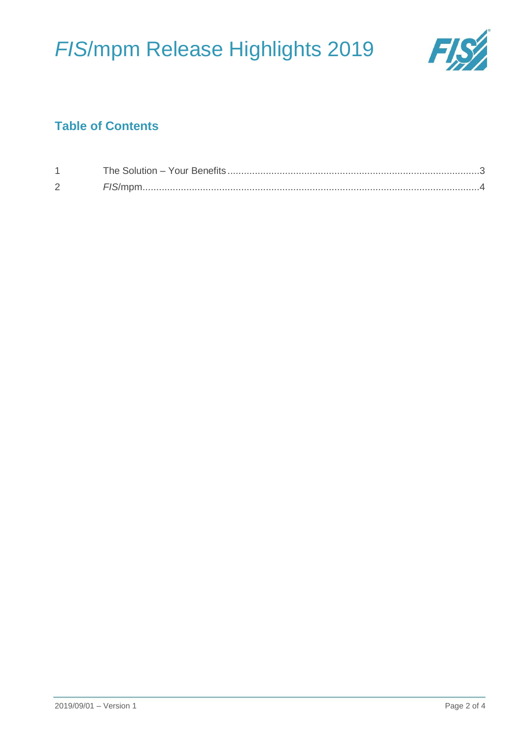

## **Table of Contents**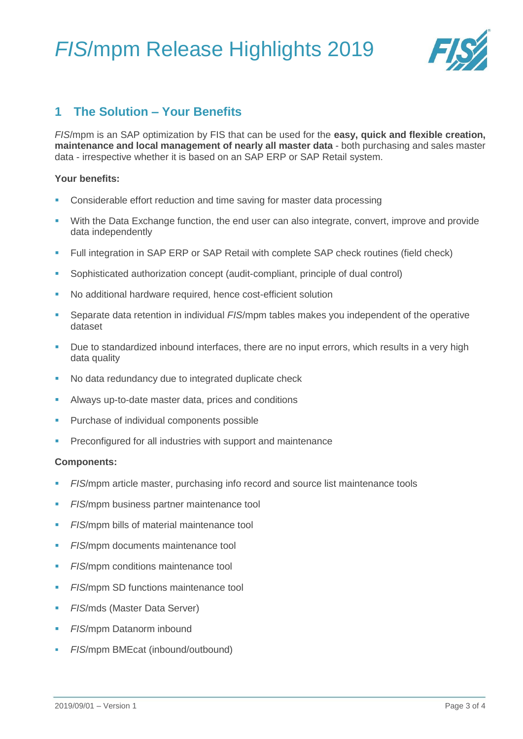

### <span id="page-2-0"></span>**1 The Solution – Your Benefits**

*FIS*/mpm is an SAP optimization by FIS that can be used for the **easy, quick and flexible creation, maintenance and local management of nearly all master data** - both purchasing and sales master data - irrespective whether it is based on an SAP ERP or SAP Retail system.

### **Your benefits:**

- Considerable effort reduction and time saving for master data processing
- **With the Data Exchange function, the end user can also integrate, convert, improve and provide** data independently
- Full integration in SAP ERP or SAP Retail with complete SAP check routines (field check)
- Sophisticated authorization concept (audit-compliant, principle of dual control)
- No additional hardware required, hence cost-efficient solution
- Separate data retention in individual *FIS*/mpm tables makes you independent of the operative dataset
- Due to standardized inbound interfaces, there are no input errors, which results in a very high data quality
- No data redundancy due to integrated duplicate check
- Always up-to-date master data, prices and conditions
- **Purchase of individual components possible**
- Preconfigured for all industries with support and maintenance

#### **Components:**

- *FIS*/mpm article master, purchasing info record and source list maintenance tools
- *FIS*/mpm business partner maintenance tool
- *FIS*/mpm bills of material maintenance tool
- **FIS/mpm documents maintenance tool**
- *FIS*/mpm conditions maintenance tool
- **FIS/mpm SD functions maintenance tool**
- **FIS/mds (Master Data Server)**
- *FIS*/mpm Datanorm inbound
- *FIS*/mpm BMEcat (inbound/outbound)